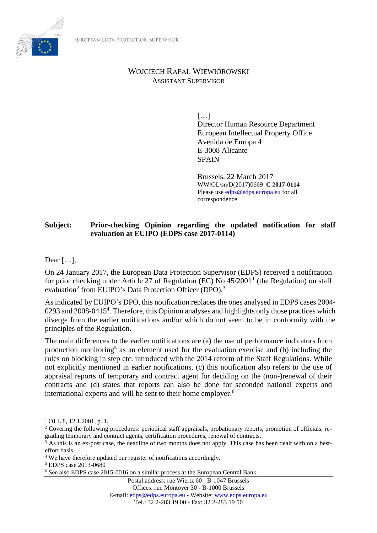

## WOJCIECH RAFAŁ WIEWIÓROWSKI ASSISTANT SUPERVISOR

[…] Director Human Resource Department European Intellectual Property Office Avenida de Europa 4 E-3008 Alicante SPAIN

Brussels, 22 March 2017 WW/OL/sn/D(2017)0669 **C 2017-0114** Please use [edps@edps.europa.eu](mailto:edps@edps.europa.eu) for all correspondence

## **Subject: Prior-checking Opinion regarding the updated notification for staff evaluation at EUIPO (EDPS case 2017-0114)**

Dear […],

On 24 January 2017, the European Data Protection Supervisor (EDPS) received a notification for prior checking under Article 27 of Regulation (EC) No  $45/2001<sup>1</sup>$  (the Regulation) on staff evaluation<sup>2</sup> from EUIPO's Data Protection Officer (DPO).<sup>3</sup>

As indicated by EUIPO's DPO, this notification replaces the ones analysed in EDPS cases 2004- 0293 and 2008-0415<sup>4</sup>. Therefore, this Opinion analyses and highlights only those practices which diverge from the earlier notifications and/or which do not seem to be in conformity with the principles of the Regulation.

The main differences to the earlier notifications are (a) the use of performance indicators from production monitoring<sup>5</sup> as an element used for the evaluation exercise and (b) including the rules on blocking in step etc. introduced with the 2014 reform of the Staff Regulations. While not explicitly mentioned in earlier notifications, (c) this notification also refers to the use of appraisal reports of temporary and contract agent for deciding on the (non-)renewal of their contracts and (d) states that reports can also be done for seconded national experts and international experts and will be sent to their home employer. 6

 $\overline{a}$ 

Postal address: rue Wiertz 60 - B-1047 Brussels

Offices: rue Montoyer 30 - B-1000 Brussels

E-mail: [edps@edps.europa.eu](mailto:edps@edps.eu.int) - Website: [www.edps.europa.eu](http://www.edps.europa.eu/)

 $1$  OJ L 8, 12.1.2001, p. 1.

<sup>2</sup> Covering the following procedures: periodical staff appraisals, probationary reports, promotion of officials, regrading temporary and contract agents, certification procedures, renewal of contracts.

 $3$  As this is an ex-post case, the deadline of two months does not apply. This case has been dealt with on a besteffort basis.

<sup>4</sup> We have therefore updated our register of notifications accordingly.

<sup>5</sup> EDPS case 2013-0680

<sup>6</sup> See also EDPS case 2015-0016 on a similar process at the European Central Bank.